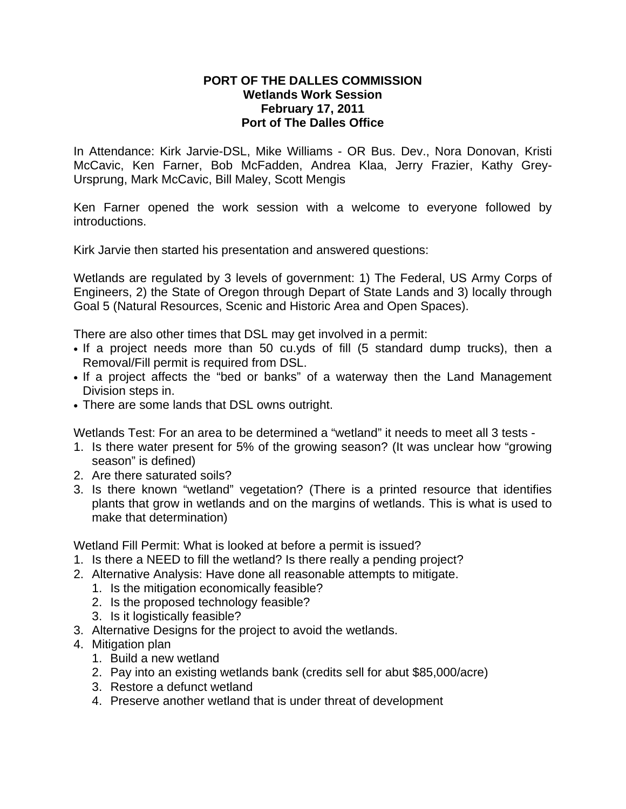## **PORT OF THE DALLES COMMISSION Wetlands Work Session February 17, 2011 Port of The Dalles Office**

In Attendance: Kirk Jarvie-DSL, Mike Williams - OR Bus. Dev., Nora Donovan, Kristi McCavic, Ken Farner, Bob McFadden, Andrea Klaa, Jerry Frazier, Kathy Grey-Ursprung, Mark McCavic, Bill Maley, Scott Mengis

Ken Farner opened the work session with a welcome to everyone followed by introductions.

Kirk Jarvie then started his presentation and answered questions:

Wetlands are regulated by 3 levels of government: 1) The Federal, US Army Corps of Engineers, 2) the State of Oregon through Depart of State Lands and 3) locally through Goal 5 (Natural Resources, Scenic and Historic Area and Open Spaces).

There are also other times that DSL may get involved in a permit:

- If a project needs more than 50 cu.yds of fill (5 standard dump trucks), then a Removal/Fill permit is required from DSL.
- If a project affects the "bed or banks" of a waterway then the Land Management Division steps in.
- There are some lands that DSL owns outright.

Wetlands Test: For an area to be determined a "wetland" it needs to meet all 3 tests -

- 1. Is there water present for 5% of the growing season? (It was unclear how "growing season" is defined)
- 2. Are there saturated soils?
- 3. Is there known "wetland" vegetation? (There is a printed resource that identifies plants that grow in wetlands and on the margins of wetlands. This is what is used to make that determination)

Wetland Fill Permit: What is looked at before a permit is issued?

- 1. Is there a NEED to fill the wetland? Is there really a pending project?
- 2. Alternative Analysis: Have done all reasonable attempts to mitigate.
	- 1. Is the mitigation economically feasible?
	- 2. Is the proposed technology feasible?
	- 3. Is it logistically feasible?
- 3. Alternative Designs for the project to avoid the wetlands.
- 4. Mitigation plan
	- 1. Build a new wetland
	- 2. Pay into an existing wetlands bank (credits sell for abut \$85,000/acre)
	- 3. Restore a defunct wetland
	- 4. Preserve another wetland that is under threat of development